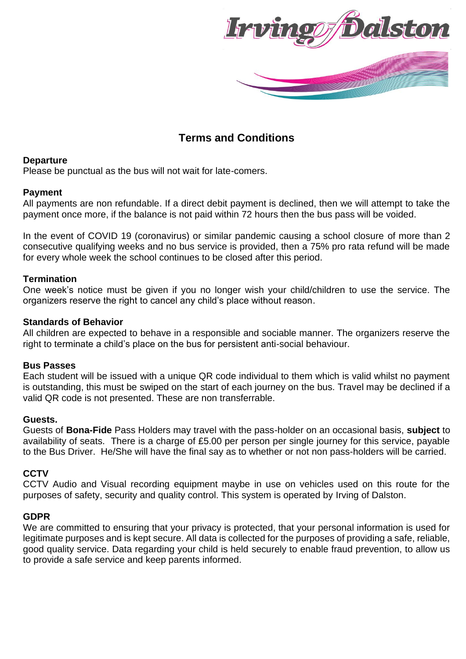

# **Terms and Conditions**

## **Departure**

Please be punctual as the bus will not wait for late-comers.

# **Payment**

All payments are non refundable. If a direct debit payment is declined, then we will attempt to take the payment once more, if the balance is not paid within 72 hours then the bus pass will be voided.

In the event of COVID 19 (coronavirus) or similar pandemic causing a school closure of more than 2 consecutive qualifying weeks and no bus service is provided, then a 75% pro rata refund will be made for every whole week the school continues to be closed after this period.

## **Termination**

One week's notice must be given if you no longer wish your child/children to use the service. The organizers reserve the right to cancel any child's place without reason.

## **Standards of Behavior**

All children are expected to behave in a responsible and sociable manner. The organizers reserve the right to terminate a child's place on the bus for persistent anti-social behaviour.

#### **Bus Passes**

Each student will be issued with a unique QR code individual to them which is valid whilst no payment is outstanding, this must be swiped on the start of each journey on the bus. Travel may be declined if a valid QR code is not presented. These are non transferrable.

#### **Guests.**

Guests of **Bona-Fide** Pass Holders may travel with the pass-holder on an occasional basis, **subject** to availability of seats. There is a charge of £5.00 per person per single journey for this service, payable to the Bus Driver. He/She will have the final say as to whether or not non pass-holders will be carried.

# **CCTV**

CCTV Audio and Visual recording equipment maybe in use on vehicles used on this route for the purposes of safety, security and quality control. This system is operated by Irving of Dalston.

#### **GDPR**

We are committed to ensuring that your privacy is protected, that your personal information is used for legitimate purposes and is kept secure. All data is collected for the purposes of providing a safe, reliable, good quality service. Data regarding your child is held securely to enable fraud prevention, to allow us to provide a safe service and keep parents informed.